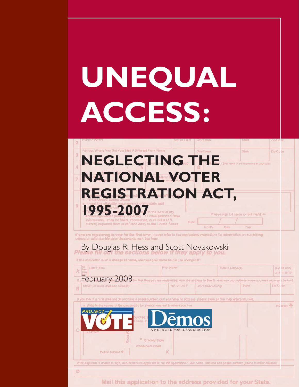# UNEQUAL ACCESS:

### Address Where You Get Your Mail if Different From Abe NEGLECTING THE **NATIONAL VOTER REGISTRATION ACT,** 1995-2007 lesse sign lui name for put mark! A have provided faise

Zip Co le

If you are registering to vote for the first time: please refer to the application instructions for information on submitting copies of valid identification documents with the form

### By Douglas R. Hess and Scott Novakowski

impresoned, or (if not a U.S.

| Last Name<br>A.                                                                                                                                                                                                                                                                                                                                                                                                                                                                                                                        | <b>First Name</b>                                                                                                | Middle Name(#)   |       | (Ciri se one) | Jr 5 H II IV |  |  |
|----------------------------------------------------------------------------------------------------------------------------------------------------------------------------------------------------------------------------------------------------------------------------------------------------------------------------------------------------------------------------------------------------------------------------------------------------------------------------------------------------------------------------------------|------------------------------------------------------------------------------------------------------------------|------------------|-------|---------------|--------------|--|--|
| February 2008                                                                                                                                                                                                                                                                                                                                                                                                                                                                                                                          | first lime you are registering from the address in Dex 2, what wee your address where you are a regeneed before? |                  |       |               |              |  |  |
| Street for route and box number).<br>B                                                                                                                                                                                                                                                                                                                                                                                                                                                                                                 | Apt. or Lot #                                                                                                    | City/Town/County | State | Zip Code      |              |  |  |
|                                                                                                                                                                                                                                                                                                                                                                                                                                                                                                                                        |                                                                                                                  |                  |       |               |              |  |  |
| If you like in a rurel area but do not have a street number, or it you have no address please show on the map where you like,<br># Witte In the names of the crossroads for streets) neared to where you five<br>NORTH T<br><b>PROJECT-</b><br><b>Jemos</b><br>urches. I<br>A NETWORK FOR IDEAS & ACTION<br>記念提供取締<br>Grecary Store<br>Woodchuck Road<br>X<br>Public School ®<br>if the applicant is unable to sign, who inelped the applicant fill out this application? Give name, address and phane number (phone number optional). |                                                                                                                  |                  |       |               |              |  |  |
| D                                                                                                                                                                                                                                                                                                                                                                                                                                                                                                                                      |                                                                                                                  |                  |       |               |              |  |  |
|                                                                                                                                                                                                                                                                                                                                                                                                                                                                                                                                        | Mail this englication to the address provided for vour State                                                     |                  |       |               |              |  |  |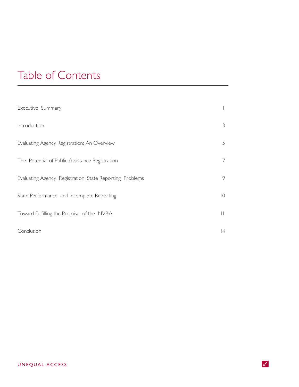### Table of Contents

| Executive Summary                                        |                 |
|----------------------------------------------------------|-----------------|
| Introduction                                             | 3               |
| Evaluating Agency Registration: An Overview              | 5               |
| The Potential of Public Assistance Registration          | 7               |
| Evaluating Agency Registration: State Reporting Problems | 9               |
| State Performance and Incomplete Reporting               | $\overline{10}$ |
| Toward Fulfilling the Promise of the NVRA                | $\mathbf{  }$   |
| Conclusion                                               | $ 4\rangle$     |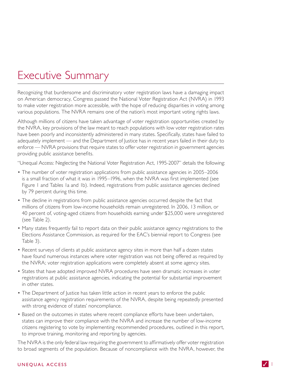### **Executive Summary**

Recognizing that burdensome and discriminatory voter registration laws have a damaging impact on American democracy, Congress passed the National Voter Registration Act (NVRA) in 1993 to make voter registration more accessible, with the hope of reducing disparities in voting among various populations. The NVRA remains one of the nation's most important voting rights laws.

Although millions of citizens have taken advantage of voter registration opportunities created by the NVRA, key provisions of the law meant to reach populations with low voter registration rates have been poorly and inconsistently administered in many states. Specifically, states have failed to adequately implement — and the Department of Justice has in recent years failed in their duty to enforce — NVRA provisions that require states to offer voter registration in government agencies providing public assistance benefits.

"Unequal Access: Neglecting the National Voter Registration Act, 1995-2007" details the following:

- The number of voter registration applications from public assistance agencies in 2005–2006 is a small fraction of what it was in 1995–1996, when the NVRA was first implemented (see Figure I and Tables Ia and Ib). Indeed, registrations from public assistance agencies declined by 79 percent during this time.
- The decline in registrations from public assistance agencies occurred despite the fact that millions of citizens from low-income households remain unregistered. In 2006, 13 million, or 40 percent of, voting-aged citizens from households earning under \$25,000 were unregistered (see Table 2).
- Many states frequently fail to report data on their public assistance agency registrations to the Elections Assistance Commission, as required for the EAC's biennial report to Congress (see Table 3).
- Recent surveys of clients at public assistance agency sites in more than half a dozen states have found numerous instances where voter registration was not being offered as required by the NVRA; voter registration applications were completely absent at some agency sites.
- States that have adopted improved NVRA procedures have seen dramatic increases in voter registrations at public assistance agencies, indicating the potential for substantial improvement in other states.
- The Department of Justice has taken little action in recent years to enforce the public assistance agency registration requirements of the NVRA, despite being repeatedly presented with strong evidence of states' noncompliance.
- Based on the outcomes in states where recent compliance efforts have been undertaken, states can improve their compliance with the NVRA and increase the number of low-income citizens registering to vote by implementing recommended procedures, outlined in this report, to improve training, monitoring and reporting by agencies.

The NVRA is the only federal law requiring the government to affirmatively offer voter registration to broad segments of the population. Because of noncompliance with the NVRA, however, the

#### UNEQUAL ACCESS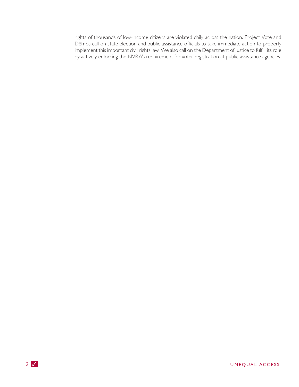rights of thousands of low-income citizens are violated daily across the nation. Project Vote and Demos call on state election and public assistance officials to take immediate action to properly implement this important civil rights law. We also call on the Department of Justice to fulfill its role by actively enforcing the NVRA's requirement for voter registration at public assistance agencies.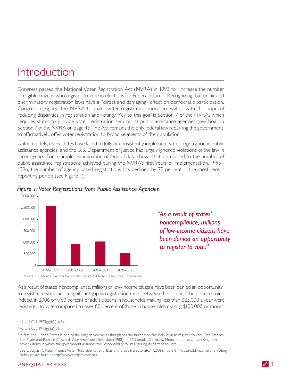### Introduction

Congress passed the National Voter Registration Act (NVRA) in 1993 to "increase the number of eligible citizens who register to vote in elections for Federal office." Recognizing that unfair and discriminatory registration laws have a "direct and damaging" effect on democratic participation, Congress designed the NVRA to make voter registration more accessible, with the hope of reducing disparities in registration and voting.<sup>2</sup> Key to this goal is Section 7 of the NVRA, which requires states to provide voter registration services at public assistance agencies (see box on Section 7 of the NVRA on page 4). The Act remains the only federal law requiring the government to affirmatively offer voter registration to broad segments of the population.<sup>3</sup>

Unfortunately, many states have failed to fully or consistently implement voter registration in public assistance agencies, and the U.S. Department of Justice has largely ignored violations of the law in recent years. For example, examination of federal data shows that, compared to the number of public assistance registrations achieved during the NVRA's first years of implementation, 1995– 1996, the number of agency-based registrations has declined by 79 percent in the most recent reporting period (see Figure 1).



#### Figure 1: Voter Registrations from Public Assistance Agencies

"As a result of states' noncompliance, millions of low-income citizens have been denied an opportunity to register to vote."

As a result of states' noncompliance, millions of low-income citizens have been denied an opportunity to register to vote, and a significant gap in registration rates between the rich and the poor remains. Indeed, in 2006 only 60 percent of adult citizens in households making less than \$25,000 a year were registered to vote compared to over 80 percent of those in households making \$100,000 or more.<sup>4</sup>

#### $142$  U.S.C. § 1973gg(b)(1)(3).

<sup>4</sup> See Douglas R. Hess, Project Vote, "Representational Bias in the 2006 Electorate," (2006), Table 6: Household Income and Voting Behavior, available at http://www.projectvote.org.

#### UNEQUAL ACCESS

<sup>&</sup>lt;sup>2</sup> 42 U.S.C. § 1973gg(a)(3).

<sup>&</sup>lt;sup>3</sup> In fact, the United States is one of the only democracies that places the burden on the individual to register to vote. See Frances Fox Piven and Richard Cloward, Why Americans Don't Vote (1988), p. 17. Canada, Germany, Mexico and the United Kingdom all have systems in which the government assumes the responsibility for registering its citizens to vote.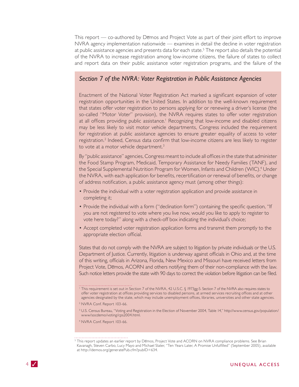This report - co-authored by Demos and Project Vote as part of their joint effort to improve  $NVRA$  agency implementation nationwide  $-$  examines in detail the decline in voter registration at public assistance agencies and presents data for each state.<sup>5</sup> The report also details the potential of the NVRA to increase registration among low-income citizens, the failure of states to collect and report data on their public assistance voter registration programs, and the failure of the

#### Section 7 of the NVRA: Voter Registration in Public Assistance Agencies

Enactment of the National Voter Registration Act marked a significant expansion of voter registration opportunities in the United States. In addition to the well-known requirement that states offer voter registration to persons applying for or renewing a driver's license (the so-called "Motor Voter" provision), the NVRA requires states to offer voter registration at all offices providing public assistance.<sup>1</sup> Recognizing that low-income and disabled citizens may be less likely to visit motor vehicle departments, Congress included the requirement for registration at public assistance agencies to ensure greater equality of access to voter registration.<sup>2</sup> Indeed, Census data confirm that low-income citizens are less likely to register to vote at a motor vehicle department.<sup>3</sup>

By "public assistance" agencies, Congress meant to include all offices in the state that administer the Food Stamp Program, Medicaid, Temporary Assistance for Needy Families (TANF), and the Special Supplemental Nutrition Program for Women, Infants and Children (WIC).<sup>4</sup> Under the NVRA, with each application for benefits, recertification or renewal of benefits, or change of address notification, a public assistance agency must (among other things):

- Provide the individual with a voter registration application and provide assistance in completing it;
- Provide the individual with a form ("declination form") containing the specific question, "If you are not registered to vote where you live now, would you like to apply to register to vote here today?" along with a check-off box indicating the individual's choice;
- Accept completed voter registration application forms and transmit them promptly to the appropriate election official.

States that do not comply with the NVRA are subject to litigation by private individuals or the U.S. Department of Justice. Currently, litigation is underway against officials in Ohio and, at the time of this writing, officials in Arizona, Florida, New Mexico and Missouri have received letters from Project Vote, Demos, ACORN and others notifying them of their non-compliance with the law. Such notice letters provide the state with 90 days to correct the violation before litigation can be filed.

<sup>&</sup>lt;sup>1</sup> This requirement is set out in Section 7 of the NVRA, 42 U.S.C. § 1973gg-5. Section 7 of the NVRA also requires states to offer voter registration at offices providing services to disabled persons, at armed services recruiting offices and at other agencies designated by the state, which may include unemployment offices, libraries, universities and other state agencies.

<sup>&</sup>lt;sup>2</sup> NVRA Conf. Report 103-66.

<sup>&</sup>lt;sup>3</sup> U.S. Census Bureau, "Voting and Registration in the Election of November 2004, Table 14," http://www.census.gov/population/ www/socdemo/voting/cps2004.html.

<sup>&</sup>lt;sup>4</sup> NVRA Conf. Report 103-66.

<sup>&</sup>lt;sup>5</sup> This report updates an earlier report by Demos, Project Vote and ACORN on NVRA compliance problems. See Brian Kavanagh, Steven Carbo, Lucy Mayo and Michael Slater, "Ten Years Later, A Promise Unfulfilled" (September 2005), available at http://demos.org/generatePub.cfm?pubID=634.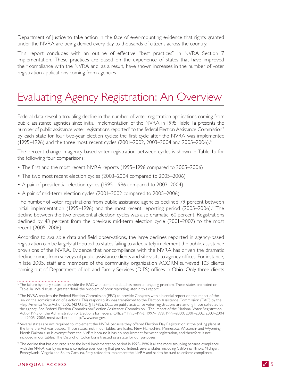Department of Justice to take action in the face of ever-mounting evidence that rights granted under the NVRA are being denied every day to thousands of citizens across the country.

This report concludes with an outline of effective "best practices" in NVRA Section 7 implementation. These practices are based on the experience of states that have improved their compliance with the NVRA and, as a result, have shown increases in the number of voter registration applications coming from agencies.

### Evaluating Agency Registration: An Overview

Federal data reveal a troubling decline in the number of voter registration applications coming from public assistance agencies since initial implementation of the NVRA in 1995. Table Ia presents the number of public assistance voter registrations reported<sup>6</sup> to the federal Election Assistance Commission<sup>7</sup> by each state for four two-year election cycles: the first cycle after the NVRA was implemented (1995–1996) and the three most recent cycles (2001–2002, 2003–2004 and 2005–2006).<sup>8</sup>

The percent change in agency-based voter registration between cycles is shown in Table Ib for the following four comparisons:

- The first and the most recent NVRA reports (1995–1996 compared to 2005–2006)
- The two most recent election cycles (2003–2004 compared to 2005–2006)
- A pair of presidential-election cycles (1995–1996 compared to 2003–2004)
- A pair of mid-term election cycles (2001-2002 compared to 2005-2006)

The number of voter registrations from public assistance agencies declined 79 percent between initial implementation (1995–1996) and the most recent reporting period (2005–2006).<sup>9</sup> The decline between the two presidential election cycles was also dramatic: 60 percent. Registrations declined by 43 percent from the previous mid-term election cycle (2001–2002) to the most recent (2005-2006).

According to available data and field observations, the large declines reported in agency-based registration can be largely attributed to states failing to adequately implement the public assistance provisions of the NVRA. Evidence that noncompliance with the NVRA has driven the dramatic decline comes from surveys of public assistance clients and site visits to agency offices. For instance, in late 2005, staff and members of the community organization ACORN surveyed 103 clients coming out of Department of Job and Family Services (DJFS) offices in Ohio. Only three clients

<sup>&</sup>lt;sup>6</sup> The failure by many states to provide the EAC with complete data has been an ongoing problem. These states are noted on Table Ia. We discuss in greater detail the problem of poor reporting later in this report.

<sup>&</sup>lt;sup>7</sup> The NVRA requires the Federal Election Commission (FEC) to provide Congress with a biennial report on the impact of the law on the administration of elections. This responsibility was transferred to the Election Assistance Commission (EAC) by the Help America Vote Act of 2002 (42 U.S.C. § 15482). Data on public assistance voter registrations are among those collected by the agency. See Federal Election Commission/Election Assistance Commission, "The Impact of the National Voter Registration Act of 1993 on the Administration of Elections for Federal Office," 1995-1996, 1997-1998, 1999-2000, 2001-2002, 2003-2004 and 2005-2006, most available at http://www.eac.gov.

<sup>&</sup>lt;sup>8</sup> Several states are not required to implement the NVRA because they offered Election Day Registration at the polling place at the time the Act was passed. Those states, not in our tables, are Idaho, New Hampshire, Minnesota, Wisconsin and Wyoming. North Dakota also is exempt from the NVRA because it has no requirement for voter registration, and therefore is not included in our tables. The District of Columbia is treated as a state for our purposes.

<sup>&</sup>lt;sup>9</sup> The decline that has occurred since the initial implementation period in 1995–1996 is all the more troubling because compliance with the NVRA was by no means complete even during that period. Indeed, several states, including California, Illinois, Michigan, Pennsylvania, Virginia and South Carolina, flatly refused to implement the NVRA and had to be sued to enforce compliance.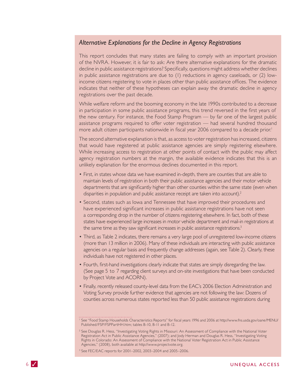#### Alternative Explanations for the Decline in Agency Registrations

This report concludes that many states are failing to comply with an important provision of the NVRA. However, it is fair to ask: Are there alternative explanations for the dramatic decline in public assistance registrations? Specifically, questions might address whether declines in public assistance registrations are due to (I) reductions in agency caseloads, or (2) lowincome citizens registering to vote in places other than public assistance offices. The evidence indicates that neither of these hypotheses can explain away the dramatic decline in agency registrations over the past decade.

While welfare reform and the booming economy in the late 1990s contributed to a decrease in participation in some public assistance programs, this trend reversed in the first years of the new century. For instance, the Food Stamp Program - by far one of the largest public assistance programs required to offer voter registration - had several hundred thousand more adult citizen participants nationwide in fiscal year 2006 compared to a decade prior.<sup>1</sup>

The second alternative explanation is that, as access to voter registration has increased, citizens that would have registered at public assistance agencies are simply registering elsewhere. While increasing access to registration at other points of contact with the public may affect agency registration numbers at the margin, the available evidence indicates that this is an unlikely explanation for the enormous declines documented in this report.

- First, in states whose data we have examined in-depth, there are counties that are able to maintain levels of registration in both their public assistance agencies and their motor vehicle departments that are significantly higher than other counties within the same state (even when disparities in population and public assistance receipt are taken into account).<sup>2</sup>
- Second, states such as lowa and Tennessee that have improved their procedures and have experienced significant increases in public assistance registrations have not seen a corresponding drop in the number of citizens registering elsewhere. In fact, both of these states have experienced large increases in motor vehicle department and mail-in registrations at the same time as they saw significant increases in public assistance registrations.<sup>3</sup>
- Third, as Table 2 indicates, there remains a very large pool of unregistered low-income citizens (more than 13 million in 2006). Many of these individuals are interacting with public assistance agencies on a regular basis and frequently change addresses (again, see Table 2). Clearly, these individuals have not registered in other places.
- Fourth, first-hand investigations clearly indicate that states are simply disregarding the law. (See page 5 to 7 regarding client surveys and on-site investigations that have been conducted by Project Vote and ACORN).
- Finally, recently released county-level data from the EAC's 2006 Election Administration and Voting Survey provide further evidence that agencies are not following the law: Dozens of counties across numerous states reported less than 50 public assistance registrations during

<sup>&</sup>lt;sup>1</sup> See "Food Stamp Households Characteristics Reports" for fiscal years 1996 and 2006 at http://www.fns.usda.gov/oane/MENU/ Published/FSP/FSPPartHH.htm; tables B-10, B-11 and B-12.

<sup>&</sup>lt;sup>2</sup> See Douglas R. Hess, "Investigating Voting Rights in Missouri: An Assessment of Compliance with the National Voter Registration Act in Public Assistance Agencies," (2007); and Jody Herman and Douglas R. Hess, "Investigating Voting Rights in Colorado: An Assessment of Compliance with the National Voter Registration Act in Public Assistance Agencies," (2008), both available at http://www.projectvote.org.

<sup>&</sup>lt;sup>3</sup> See FEC/EAC reports for 2001-2002, 2003-2004 and 2005-2006.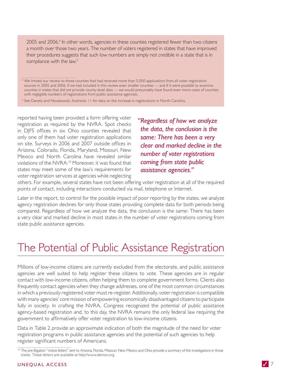2005 and 2006.<sup>4</sup> In other words, agencies in these counties registered fewer than two citizens a month over those two years. The number of voters registered in states that have improved their procedures suggests that such low numbers are simply not credible in a state that is in compliance with the law.<sup>5</sup>

<sup>4</sup> We limited our review to those counties that had received more than 5,000 applications from all voter registration sources in 2005 and 2006. If we had included in this review even smaller counties - and if it were possible to examine counties in states that did not provide county-level data - we would presumably have found even more cases of counties with negligible numbers of registrations from public assistance agencies.

<sup>5</sup> See Danetz and Novakowski, footnote 11 for data on the increase in registrations in North Carolina.

reported having been provided a form offering voter registration as required by the NVRA. Spot checks in DJFS offices in six Ohio counties revealed that only one of them had voter registration applications on site. Surveys in 2006 and 2007 outside offices in Arizona, Colorado, Florida, Maryland, Missouri, New Mexico and North Carolina have revealed similar violations of the NVRA.<sup>10</sup> Moreover, it was found that states may meet some of the law's requirements for voter registration services at agencies while neglecting

"Regardless of how we analyze the data, the conclusion is the same: There has been a very clear and marked decline in the number of voter registrations coming from state public assistance agencies."

others. For example, several states have not been offering voter registration at all of the required points of contact, including interactions conducted via mail, telephone or Internet.

Later in the report, to control for the possible impact of poor reporting by the states, we analyze agency registration declines for only those states providing complete data for both periods being compared. Regardless of how we analyze the data, the conclusion is the same: There has been a very clear and marked decline in most states in the number of voter registrations coming from state public assistance agencies.

### The Potential of Public Assistance Registration

Millions of low-income citizens are currently excluded from the electorate, and public assistance agencies are well suited to help register these citizens to vote. These agencies are in regular contact with low-income citizens, often helping them to complete government forms. Clients also frequently contact agencies when they change addresses, one of the most common circumstances in which a previously registered voter must re-register. Additionally, voter registration is compatible with many agencies' core mission of empowering economically disadvantaged citizens to participate fully in society. In crafting the NVRA, Congress recognized the potential of public assistance agency-based registration and, to this day, the NVRA remains the only federal law requiring the government to affirmatively offer voter registration to low-income citizens.

Data in Table 2 provide an approximate indication of both the magnitude of the need for voter registration programs in public assistance agencies and the potential of such agencies to help register significant numbers of Americans.

<sup>&</sup>lt;sup>10</sup> The pre-litigation "notice letters" sent to Arizona, Florida, Missouri, New Mexico and Ohio provide a summary of the investigations in those states. These letters are available at http://www.demos.org.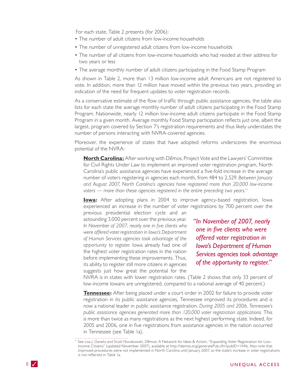For each state, Table 2 presents (for 2006):

- The number of adult citizens from low-income households
- The number of unregistered adult citizens from low-income households
- The number of all citizens from low-income households who had resided at their address for two years or less
- The average monthly number of adult citizens participating in the Food Stamp Program

As shown in Table 2, more than 13 million low-income adult Americans are not registered to vote. In addition, more than 12 million have moved within the previous two years, providing an indication of the need for frequent updates to voter registration records.

As a conservative estimate of the flow of traffic through public assistance agencies, the table also lists for each state the average monthly number of adult citizens participating in the Food Stamp Program. Nationwide, nearly 12 million low-income adult citizens participate in the Food Stamp Program in a given month. Average monthly Food Stamp participation reflects just one, albeit the largest, program covered by Section 7's registration requirements and thus likely understates the number of persons interacting with NVRA-covered agencies.

Moreover, the experience of states that have adopted reforms underscores the enormous potential of the NVRA:

**North Carolina:** After working with Demos, Project Vote and the Lawyers' Committee for Civil Rights Under Law to implement an improved voter registration program, North Carolina's public assistance agencies have experienced a five-fold increase in the average number of voters registering in agencies each month, from 484 to 2,529. Between January and August 2007, North Carolina's agencies have registered more than 20,000 low-income voters — more than these agencies registered in the entire preceding two years.<sup>11</sup>

**lowa:** After adopting plans in 2004 to improve agency-based registration, lowa experienced an increase in the number of voter registrations by 700 percent over the

previous presidential election cycle and an astounding 3,000 percent over the previous year. In November of 2007, nearly one in five clients who were offered voter registration in Iowa's Department of Human Services agencies took advantage of the opportunity to register. lowa already had one of the highest voter registration rates in the nation before implementing these improvements. Thus, its ability to register still more citizens in agencies suggests just how great the potential for the

"In November of 2007, nearly one in five clients who were offered voter registration in **Iowa's Department of Human** Services agencies took advantage of the opportunity to register."

NVRA is in states with lower registration rates. (Table 2 shows that only 33 percent of low-income lowans are unregistered, compared to a national average of 40 percent.)

Tennessee: After being placed under a court order in 2002 for failure to provide voter registration in its public assistance agencies, Tennessee improved its procedures and is now a national leader in public assistance registration. During 2005 and 2006, Tennessee's public assistance agencies generated more than 120,000 voter registration applications. This is more than twice as many registrations as the next highest performing state. Indeed, for 2005 and 2006, one in five registrations from assistance agencies in the nation occurred in Tennessee (see Table Ia).

<sup>&</sup>lt;sup>11</sup> See Lisa J. Danetz and Scott Novakowski, Demos: A Network for Ideas & Action, "Expanding Voter Registration for Low-Income Citizens" (updated November 2007), available at http://demos.org/generatePub.cfm?pubID=1446. Also note that improved procedures were not implemented in North Carolina until January 2007, so the state's increase in voter registrations is not reflected in Table Ia.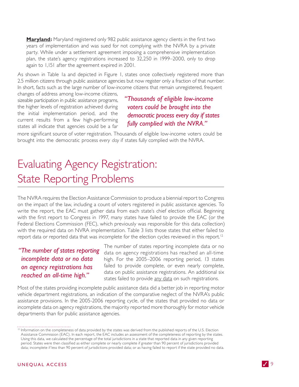**Maryland:** Maryland registered only 982 public assistance agency clients in the first two years of implementation and was sued for not complying with the NVRA by a private party. While under a settlement agreement imposing a comprehensive implementation plan, the state's agency registrations increased to 32,250 in 1999–2000, only to drop again to 1,151 after the agreement expired in 2001.

As shown in Table Ia and depicted in Figure I, states once collectively registered more than 2.5 million citizens through public assistance agencies but now register only a fraction of that number. In short, facts such as the large number of low-income citizens that remain unregistered, frequent changes of address among low-income citizens,

sizeable participation in public assistance programs, the higher levels of registration achieved during the initial implementation period, and the current results from a few high-performing states all indicate that agencies could be a far

"Thousands of eligible low-income voters could be brought into the democratic process every day if states fully complied with the NVRA."

more significant source of voter registration. Thousands of eligible low-income voters could be brought into the democratic process every day if states fully complied with the NVRA.

### Evaluating Agency Registration: **State Reporting Problems**

The NVRA requires the Election Assistance Commission to produce a biennial report to Congress on the impact of the law, including a count of voters registered in public assistance agencies. To write the report, the EAC must gather data from each state's chief election official. Beginning with the first report to Congress in 1997, many states have failed to provide the EAC (or the Federal Elections Commission (FEC), which previously was responsible for this data collection) with the required data on NVRA implementation. Table 3 lists those states that either failed to report data or reported data that was incomplete for the election cycles reviewed in this report.<sup>12</sup>

### "The number of states reporting" incomplete data or no data on agency registrations has reached an all-time high."

The number of states reporting incomplete data or no data on agency registrations has reached an all-time high. For the 2005–2006 reporting period, 13 states failed to provide complete, or even nearly complete, data on public assistance registrations. An additional six states failed to provide any data on such registrations.

Most of the states providing incomplete public assistance data did a better job in reporting motor vehicle department registrations, an indication of the comparative neglect of the NVRA's public assistance provisions. In the 2005-2006 reporting cycle, of the states that provided no data or incomplete data on agency registrations, the majority reported more thoroughly for motor vehicle departments than for public assistance agencies.

<sup>&</sup>lt;sup>12</sup> Information on the completeness of data provided by the states was derived from the published reports of the U.S. Election Assistance Commission (EAC). In each report, the EAC includes an assessment of the completeness of reporting by the states. Using this data, we calculated the percentage of the total jurisdictions in a state that reported data in any given reporting period. States were then classified as either complete or nearly complete if greater than 90 percent of jurisdictions provided data; incomplete if less than 90 percent of jurisdictions provided data; or as having failed to report if the state provided no data.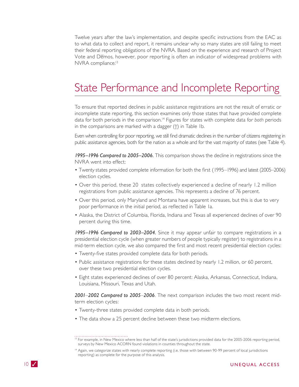Twelve years after the law's implementation, and despite specific instructions from the EAC as to what data to collect and report, it remains unclear why so many states are still failing to meet their federal reporting obligations of the NVRA. Based on the experience and research of Project Vote and Demos, however, poor reporting is often an indicator of widespread problems with NVRA compliance.<sup>13</sup>

### State Performance and Incomplete Reporting

To ensure that reported declines in public assistance registrations are not the result of erratic or incomplete state reporting, this section examines only those states that have provided complete data for both periods in the comparison.<sup>14</sup> Figures for states with complete data for both periods in the comparisons are marked with a dagger  $(+)$  in Table Ib.

Even when controlling for poor reporting, we still find dramatic declines in the number of citizens registering in public assistance agencies, both for the nation as a whole and for the vast majority of states (see Table 4).

1995-1996 Compared to 2005-2006. This comparison shows the decline in registrations since the NVRA went into effect:

- Twenty states provided complete information for both the first (1995–1996) and latest (2005–2006) election cycles.
- Over this period, these 20 states collectively experienced a decline of nearly 1.2 million registrations from public assistance agencies. This represents a decline of 76 percent.
- Over this period, only Maryland and Montana have apparent increases, but this is due to very poor performance in the initial period, as reflected in Table Ia.
- Alaska, the District of Columbia, Florida, Indiana and Texas all experienced declines of over 90 percent during this time.

1995–1996 Compared to 2003–2004. Since it may appear unfair to compare registrations in a presidential election cycle (when greater numbers of people typically register) to registrations in a mid-term election cycle, we also compared the first and most recent presidential election cycles:

- Twenty-five states provided complete data for both periods.
- Public assistance registrations for these states declined by nearly 1.2 million, or 60 percent, over these two presidential election cycles.
- Eight states experienced declines of over 80 percent: Alaska, Arkansas, Connecticut, Indiana, Louisiana, Missouri, Texas and Utah.

2001-2002 Compared to 2005-2006. The next comparison includes the two most recent midterm election cycles:

- Twenty-three states provided complete data in both periods.
- The data show a 25 percent decline between these two midterm elections.

<sup>&</sup>lt;sup>13</sup> For example, in New Mexico where less than half of the state's jurisdictions provided data for the 2005-2006 reporting period, surveys by New Mexico ACORN found violations in counties throughout the state.

<sup>&</sup>lt;sup>14</sup> Again, we categorize states with nearly complete reporting (i.e. those with between 90-99 percent of local jurisdictions reporting) as complete for the purpose of this analysis.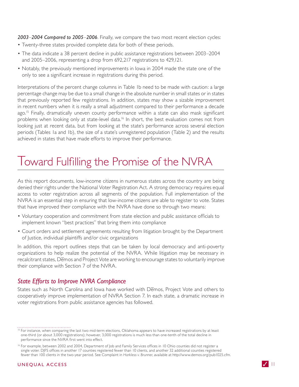2003-2004 Compared to 2005-2006. Finally, we compare the two most recent election cycles:

- Twenty-three states provided complete data for both of these periods.
- The data indicate a 38 percent decline in public assistance registrations between 2003–2004 and 2005-2006, representing a drop from 692,217 registrations to 429,121.
- Notably, the previously mentioned improvements in lowa in 2004 made the state one of the only to see a significant increase in registrations during this period.

Interpretations of the percent change columns in Table Ib need to be made with caution: a large percentage change may be due to a small change in the absolute number in small states or in states that previously reported few registrations. In addition, states may show a sizable improvement in recent numbers when it is really a small adjustment compared to their performance a decade ago.<sup>15</sup> Finally, dramatically uneven county performance within a state can also mask significant problems when looking only at state-level data.<sup>16</sup> In short, the best evaluation comes not from looking just at recent data, but from looking at the state's performance across several election periods (Tables Ia and Ib), the size of a state's unregistered population (Table 2) and the results achieved in states that have made efforts to improve their performance.

### Toward Fulfilling the Promise of the NVRA

As this report documents, low-income citizens in numerous states across the country are being denied their rights under the National Voter Registration Act. A strong democracy requires equal access to voter registration across all segments of the population. Full implementation of the NVRA is an essential step in ensuring that low-income citizens are able to register to vote. States that have improved their compliance with the NVRA have done so through two means:

- Voluntary cooperation and commitment from state election and public assistance officials to implement known "best practices" that bring them into compliance
- Court orders and settlement agreements resulting from litigation brought by the Department of Justice, individual plaintiffs and/or civic organizations

In addition, this report outlines steps that can be taken by local democracy and anti-poverty organizations to help realize the potential of the NVRA. While litigation may be necessary in recalcitrant states, Demos and Project Vote are working to encourage states to voluntarily improve their compliance with Section 7 of the NVRA.

#### **State Efforts to Improve NVRA Compliance**

States such as North Carolina and Iowa have worked with Demos, Project Vote and others to cooperatively improve implementation of NVRA Section 7. In each state, a dramatic increase in voter registrations from public assistance agencies has followed.

<sup>&</sup>lt;sup>15</sup> For instance, when comparing the last two mid-term elections, Oklahoma appears to have increased registrations by at least one-third (or about 3,000 registrations); however, 3,000 registrations is much less than one-tenth of the total decline in performance since the NVRA first went into effect.

<sup>&</sup>lt;sup>16</sup> For example, between 2002 and 2004, Department of Job and Family Services offices in 10 Ohio counties did not register a single voter. DJFS offices in another 17 counties registered fewer than 10 clients, and another 32 additional counties registered fewer than 100 clients in the two-year period. See Complaint in Harkless v. Brunner, available at http://www.demos.org/pub1025.cfm.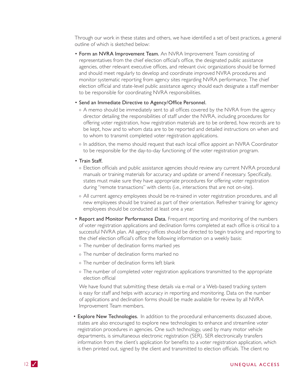Through our work in these states and others, we have identified a set of best practices, a general outline of which is sketched below:

• Form an NVRA Improvement Team. An NVRA Improvement Team consisting of representatives from the chief election official's office, the designated public assistance agencies, other relevant executive offices, and relevant civic organizations should be formed and should meet regularly to develop and coordinate improved NVRA procedures and monitor systematic reporting from agency sites regarding NVRA performance. The chief election official and state-level public assistance agency should each designate a staff member to be responsible for coordinating NVRA responsibilities.

#### • Send an Immediate Directive to Agency/Office Personnel.

- o A memo should be immediately sent to all offices covered by the NVRA from the agency director detailing the responsibilities of staff under the NVRA, including procedures for offering voter registration, how registration materials are to be ordered, how records are to be kept, how and to whom data are to be reported and detailed instructions on when and to whom to transmit completed voter registration applications.
- o In addition, the memo should request that each local office appoint an NVRA Coordinator to be responsible for the day-to-day functioning of the voter registration program.

#### • Train Staff.

- o Election officials and public assistance agencies should review any current NVRA procedural manuals or training materials for accuracy and update or amend if necessary. Specifically, states must make sure they have appropriate procedures for offering voter registration during "remote transactions" with clients (i.e., interactions that are not on-site).
- o All current agency employees should be re-trained in voter registration procedures, and all new employees should be trained as part of their orientation. Refresher training for agency employees should be conducted at least one a year.
- . Report and Monitor Performance Data. Frequent reporting and monitoring of the numbers of voter registration applications and declination forms completed at each office is critical to a successful NVRA plan. All agency offices should be directed to begin tracking and reporting to the chief election official's office the following information on a weekly basis:
	- o The number of declination forms marked yes
	- o The number of declination forms marked no
	- o The number of declination forms left blank
	- o The number of completed voter registration applications transmitted to the appropriate election official

We have found that submitting these details via e-mail or a Web-based tracking system is easy for staff and helps with accuracy in reporting and monitoring. Data on the number of applications and declination forms should be made available for review by all NVRA Improvement Team members.

• Explore New Technologies. In addition to the procedural enhancements discussed above, states are also encouraged to explore new technologies to enhance and streamline voter registration procedures in agencies. One such technology, used by many motor vehicle departments, is simultaneous electronic registration (SER). SER electronically transfers information from the client's application for benefits to a voter registration application, which is then printed out, signed by the client and transmitted to election officials. The client no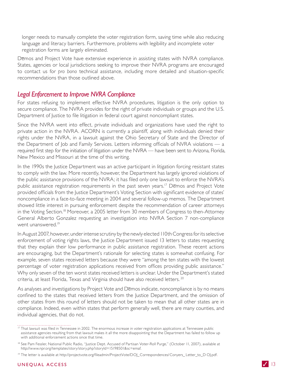longer needs to manually complete the voter registration form, saving time while also reducing language and literacy barriers. Furthermore, problems with legibility and incomplete voter registration forms are largely eliminated.

Demos and Project Vote have extensive experience in assisting states with NVRA compliance. States, agencies or local jurisdictions seeking to improve their NVRA programs are encouraged to contact us for pro bono technical assistance, including more detailed and situation-specific recommendations than those outlined above.

#### **Legal Enforcement to Improve NVRA Compliance**

For states refusing to implement effective NVRA procedures, litigation is the only option to secure compliance. The NVRA provides for the right of private individuals or groups and the U.S. Department of Justice to file litigation in federal court against noncompliant states.

Since the NVRA went into effect, private individuals and organizations have used the right to private action in the NVRA. ACORN is currently a plaintiff, along with individuals denied their rights under the NVRA, in a lawsuit against the Ohio Secretary of State and the Director of the Department of Job and Family Services. Letters informing officials of NVRA violations — a required first step for the initiation of litigation under the NVRA — have been sent to Arizona, Florida, New Mexico and Missouri at the time of this writing.

In the 1990s the Justice Department was an active participant in litigation forcing resistant states to comply with the law. More recently, however, the Department has largely ignored violations of the public assistance provisions of the NVRA; it has filed only one lawsuit to enforce the NVRA's public assistance registration requirements in the past seven years.<sup>17</sup> Demos and Project Vote provided officials from the Justice Department's Voting Section with significant evidence of states' noncompliance in a face-to-face meeting in 2004 and several follow-up memos. The Department showed little interest in pursuing enforcement despite the recommendation of career attorneys in the Voting Section.<sup>18</sup> Moreover, a 2005 letter from 30 members of Congress to then-Attorney General Alberto Gonzalez requesting an investigation into NVRA Section 7 non-compliance went unanswered.<sup>19</sup>

In August 2007, however, under intense scrutiny by the newly elected 110th Congress for its selective enforcement of voting rights laws, the Justice Department issued 13 letters to states requesting that they explain their low performance in public assistance registration. These recent actions are encouraging, but the Department's rationale for selecting states is somewhat confusing. For example, seven states received letters because they were "among the ten states with the lowest percentage of voter registration applications received from offices providing public assistance." Why only seven of the ten worst states received letters is unclear. Under the Department's stated criteria, at least Florida, Texas and Virginia should have also received letters.<sup>20</sup>

As analyses and investigations by Project Vote and Demos indicate, noncompliance is by no means confined to the states that received letters from the lustice Department, and the omission of other states from this round of letters should not be taken to mean that all other states are in compliance. Indeed, even within states that perform generally well, there are many counties, and individual agencies, that do not.

<sup>&</sup>lt;sup>17</sup> That lawsuit was filed in Tennessee in 2002. The enormous increase in voter registration applications at Tennessee public assistance agencies resulting from that lawsuit makes it all the more disappointing that the Department has failed to follow up with additional enforcement actions since that time.

<sup>&</sup>lt;sup>18</sup> See Pam Fessler, National Public Radio, "Justice Dept. Accused of Partisan Voter-Roll Purge," (October 11, 2007), available at http://www.npr.org/templates/story/story.php?storyId=15198501&sc=emaf.

<sup>&</sup>lt;sup>19</sup> The letter is available at http://projectvote.org/fileadmin/ProjectVote/DOJ\_Correspondences/Conyers\_Letter\_to\_DOJ.pdf.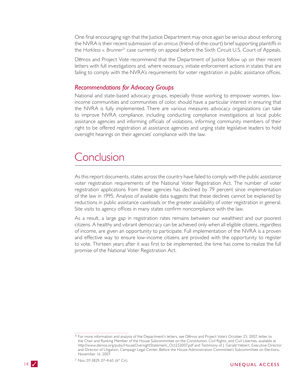One final encouraging sign that the Justice Department may once again be serious about enforcing the NVRA is their recent submission of an amicus (friend-of-the-court) brief supporting plaintiffs in the Harkless v. Brunner<sup>21</sup> case currently on appeal before the Sixth Circuit U.S. Court of Appeals.

Demos and Project Vote recommend that the Department of Justice follow up on their recent letters with full investigations and, where necessary, initiate enforcement actions in states that are failing to comply with the NVRA's requirements for voter registration in public assistance offices.

#### **Recommendations for Advocacy Groups**

National and state-based advocacy groups, especially those working to empower women, lowincome communities and communities of color, should have a particular interest in ensuring that the NVRA is fully implemented. There are various measures advocacy organizations can take to improve NVRA compliance, including conducting compliance investigations at local public assistance agencies and informing officials of violations, informing community members of their right to be offered registration at assistance agencies and urging state legislative leaders to hold oversight hearings on their agencies' compliance with the law.

### Conclusion

As this report documents, states across the country have failed to comply with the public assistance voter registration requirements of the National Voter Registration Act. The number of voter registration applications from these agencies has declined by 79 percent since implementation of the law in 1995. Analysis of available data suggests that these declines cannot be explained by reductions in public assistance caseloads or the greater availability of voter registration in general. Site visits to agency offices in many states confirm noncompliance with the law.

As a result, a large gap in registration rates remains between our wealthiest and our poorest citizens. A healthy and vibrant democracy can be achieved only when all eligible citizens, regardless of income, are given an opportunity to participate. Full implementation of the NVRA is a proven and effective way to ensure low-income citizens are provided with the opportunity to register to vote. Thirteen years after it was first to be implemented, the time has come to realize the full promise of the National Voter Registration Act.



<sup>&</sup>lt;sup>20</sup> For more information and analysis of the Department's letters, see Demos and Project Vote's October 25, 2007, letter to the Chair and Ranking Member of the House Subcommittee on the Constitution, Civil Rights, and Civil Liberties, available at http://www.demos.org/pubs/HouseOversightStatement\_Oct252007.pdf and Testimony of J. Gerald Hebert, Executive Director and Director of Litigation, Campaign Legal Center, Before the House Administration Committee's Subcommittee on Elections, November 16, 2007.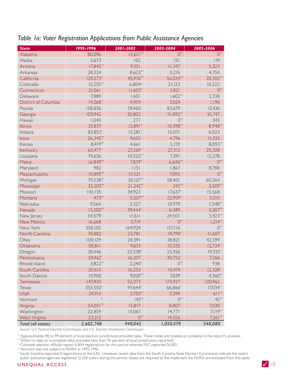| <b>State</b>         | 1995-1996         | 2001-2002          | 2003-2004  | 2005-2006   |
|----------------------|-------------------|--------------------|------------|-------------|
| Alabama              | 80,096            | $13,621**$         | $0^{**}$   | $0^{**}$    |
| Alaska               | 3,673             | 102                | 5          | 119         |
| Arizona              | $17,845***$       | 9,351              | 11,347     | 5,323       |
| Arkansas             | 28,324            | $8,623**$          | 3,276      | 4,750       |
| California           | 129,273*          | 45,976**           | 56,034**   | $20,355***$ |
| Colorado             | $12,255***$       | 6,804a             | 21,123     | 10,222      |
| Connecticut          | 21,061            | $11,603*$          | 3,821      | $0^{**}$    |
| Delaware             | 7,889             | 1,601              | $1,602**$  | 2,338       |
| District of Columbia | 14,268            | 4,454              | 3,024      | 1,196       |
| Florida              | 158,836           | 59,460             | 83,679     | 13,436      |
| Georgia              | 103,942           | 35,802             | 51,892**   | 35,747      |
| Hawaii               | 1,040             | 277                | $0^{**}$   | 343         |
| <b>Illinois</b>      | 33,837            | $13,891*$          | $10,398**$ | 8,948**     |
| Indiana              | 83,853*           | $13,281$ *         | 15,071     | 6,023       |
| lowa                 | 26,345**          | 9,655              | 4,796      | 11,333      |
| Kansas               | $8,419**$         | 4,661              | 5,159      | 8,093**     |
| Kentucky             | 63,477            | 27,269             | 27,312     | 25,328      |
| Louisiana            | 74,636            | $10,522**$         | 7,391      | 12,278      |
| Maine                | $16,849**$        | 7,839*             | $6,646**$  | $0^{**}$    |
| Maryland             | 982               | 1,151              | 1,867      | 8,788       |
| Massachusetts        | 10,895**          | 13,521             | 7,092      | $0***$      |
| Michigan             | 79,538**          | $30,127**$         | 58,401     | 60,364      |
| Mississippi          | 33,203**          | $21,242**$         | $245***$   | $3,309**$   |
| Missouri             | 143,135           | 34,923             | $17,637*$  | 15,568      |
| Montana              | 473**             | $3,207**$          | 22,959*    | 3,510       |
| Nebraska             | 9,564             | 2,527              | 10,979     | $1,548**$   |
| Nevada               | $13,200**$        | 39,444*            | 6,389      | $3,307**$   |
| New Jersey           | 54,579            | 11,611             | 24,501     | $5,423**$   |
| <b>New Mexico</b>    | 16,668            | 3,719              | $0^{**}$   | $1,214**$   |
| New York             | 358,105           | 164,924            | 157,116    | $0^{**}$    |
| North Carolina       | 74,882            | 23,781             | 19,798*    | 11,607      |
| Ohio                 | 100,129           | 24,391             | 38,821     | 42,599      |
| Oklahoma             | 58,811            | 9,633              | 15,535     | $12,724$ *  |
| Oregon               | 38,446            | 53,538*            | 25,926     | $19,333*$   |
| Pennsylvania         | 59,462*           | 16,207             | 30,752     | 7,266       |
| Rhode Island         | 3,822**           | $2,240*$           | $0^{**}$   | 938         |
| South Carolina       | 20,615            | 16,253             | 10,474     | 12,328c     |
| South Dakota         | 13,906*           | $9,020**$          | 7,039      | $4,360**$   |
| <b>Tennessee</b>     | 147,830           | 52,373             | 173,927    | 120,962     |
| Texas                | 353,550*          | 97,644*            | 66,866*    | $17,034$ *  |
| Utah                 | 24,913<br>$\sf b$ | $3,750**$          | 3,299      | $611***$    |
| Vermont              |                   | $143**$            | $0^{**}$   | $45***$     |
| Virginia             | 54,051**          | 15,817             | 8,807      | 7,030       |
| Washington           | 22,859            | 13,067<br>$0^{**}$ | 14,771     | 7,119**     |
| West Virginia        | 23,212            |                    | 14,556     | $7,261**$   |
| Total (all states)   | 2,602,748         | 949,045            | 1,050,479  | 540,080     |

#### Table Ia: Voter Registration Applications from Public Assistance Agencies

Source: U.S. Federal Election Commission and U.S. Election Assistance Commission

\* Approximately 90 to 99 percent of local election jurisdictions provided data. These states are treated as complete in the report's analyses.<br>\*\* Either no data or incomplete data provided (less than 90 percent of local ju

<sup>b</sup> Vermont was not subject to NVRA in 1995-1996

" South Carolina reported 0 registrations to the EAC. However, recent data from the South Carolina State Election Commission indicate the state's public assistance agencies registered 12,328 voters during this period. States not required to the implement the NVRA are excluded from this table.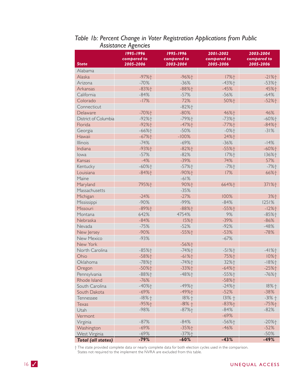|                           | 1995-1996           | 1995-1996           | 2001-2002   | 2003-2004   |
|---------------------------|---------------------|---------------------|-------------|-------------|
|                           | compared to         | compared to         | compared to | compared to |
| <b>State</b>              | 2005-2006           | 2003-2004           | 2005-2006   | 2005-2006   |
| Alabama                   |                     |                     |             |             |
| Alaska                    | $-97%$ <sup>+</sup> | $-96%$ $+$          | 17%+        | $-21%$      |
| Arizona                   | $-70%$              | $-36%$              | $-43%$      | $-53%$      |
| Arkansas                  | $-83%$              | $-88%$ <sup>+</sup> | $-45%$      | 45%+        |
| California                | $-84%$              | $-57%$              | $-56%$      | $-64%$      |
| Colorado                  | $-17%$              | 72%                 | 50%+        | $-52%$      |
| Connecticut               |                     | $-82%$ <sup>+</sup> |             |             |
| Delaware                  | $-70%$              | $-80%$              | 46%+        | 46%         |
| District of Columbia      | $-92%$ <sup>+</sup> | $-79%$              | $-73%$      | $-60%$ $+$  |
| Florida                   | $-92%$              | $-47%$ $+$          | $-77%$ $+$  | $-84%$      |
| Georgia                   | $-66%$ $+$          | $-50%$              | $-0%$       | $-31%$      |
| Hawaii                    | $-67%$ $+$          | $-100%$             | 24%+        |             |
| <b>Illinois</b>           | $-74%$              | $-69%$              | $-36%$      | $-14%$      |
| Indiana                   | $-93%$              | $-82%$ †            | $-55%$      | $-60%$ $+$  |
| lowa                      | $-57%$              | $-82%$              | 17%+        | 136%+       |
| Kansas                    | $-4%$               | $-39%$              | 74%         | 57%         |
| Kentucky                  | $-60%$ $+$          | $-57%$              | $-7%$ $+$   | $-7%$ $+$   |
| Louisiana                 | $-84%$              | $-90%$              | 17%         | 66%+        |
| Maine                     |                     | $-61%$              |             |             |
| Maryland                  | 795%+               | 90%+                | 664%+       | 371%+       |
| Massachusetts             |                     | $-35%$              |             |             |
| Michigan                  | $-24%$              | $-27%$              | 100%        | 3%+         |
| Mississippi               | $-90%$              | $-99%$              | $-84%$      | 1251%       |
| Missouri                  | $-89%$ <sup>+</sup> | $-88%$              | $-55%$      | $-12%$      |
| Montana                   | 642%                | 4754%               | 9%          | $-85%$      |
| Nebraska                  | $-84%$              | 15%十                | $-39%$      | $-86%$      |
| Nevada                    | $-75%$              | $-52%$              | $-92%$      | $-48%$      |
| New Jersey                | $-90%$              | $-55%$              | $-53%$      | $-78%$      |
| <b>New Mexico</b>         | $-93%$              |                     | $-67%$      |             |
| New York                  |                     | $-56%$              |             |             |
| North Carolina            | $-85%$              | $-74%$              | $-51%$      | $-41%$      |
| Ohio                      | $-58%$              | $-61%$              | 75%+        | 10%†        |
| Oklahoma                  | $-78%$              | $-74%$              | 32%+        | $-18%$      |
| Oregon                    | $-50%$              | $-33%$              | $-64%$ $+$  | $-25%$      |
| Pennsylvania              | $-88%$              | $-48%$ $+$          | $-55%$      | $-76%$ $+$  |
| Rhode Island              | $-76%$              |                     | $-58%$      |             |
| South Carolina            | $-40%$              | $-49%$ +            | $-24%$      | $18% +$     |
| South Dakota              | $-69%$              | $-49%$              | $-52%$      | $-38%$      |
| Tennessee                 | $-18%$              | $18% +$             | $131% +$    | $-31% +$    |
| Texas                     | $-95%$ +            | $-81% +$            | $-83%$      | $-75%$      |
| Utah                      | $-98%$              | $-87%$ +            | $-84%$      | $-82%$      |
| Vermont                   |                     |                     | $-69%$      |             |
| Virginia                  | $-87%$              | $-84%$              | $-56%$ +    | $-20%$      |
| Washington                | $-69%$              | $-35%$ +            | $-46%$      | $-52%$      |
| West Virginia             | $-69%$              | $-37%$ +            |             | $-50%$      |
| <b>Total (all states)</b> | $-79%$              | $-60%$              | $-43%$      | $-49%$      |

### Table 1b: Percent Change in Voter Registration Applications from Public Assistance Agencies

 $\dagger$  The state provided complete data or nearly complete data for both election cycles used in the comparison. States not required to the implement the NVRA are excluded from this table.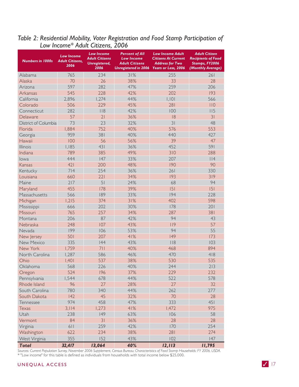## Table 2: Residential Mobility, Voter Registration and Food Stamp Participation of<br>Low Income\* Adult Citizens, 2006

| <b>Numbers in 1000s</b> | <b>Low Income</b><br><b>Adult Citizens,</b><br>2006 | <b>Low Income</b><br><b>Adult Citizens</b><br>Unregistered,<br>2006 | <b>Percent of All</b><br><b>Low Income</b><br><b>Adult Citizens</b><br><b>Unregistered in 2006</b> | <b>Low Income Adult</b><br><b>Citizens At Current</b><br><b>Address for Two</b><br>Years or Less, 2006 | <b>Adult Citizen</b><br><b>Recipients of Food</b><br>Stamps, FY2006<br>(Monthly Average) |
|-------------------------|-----------------------------------------------------|---------------------------------------------------------------------|----------------------------------------------------------------------------------------------------|--------------------------------------------------------------------------------------------------------|------------------------------------------------------------------------------------------|
| Alabama                 | 765                                                 | 234                                                                 | 31%                                                                                                | 255                                                                                                    | 261                                                                                      |
| Alaska                  | 70                                                  | 26                                                                  | 38%                                                                                                | 33                                                                                                     | 28                                                                                       |
| Arizona                 | 597                                                 | 282                                                                 | 47%                                                                                                | 259                                                                                                    | 206                                                                                      |
| Arkansas                | 545                                                 | 228                                                                 | 42%                                                                                                | 202                                                                                                    | 193                                                                                      |
| California              | 2,896                                               | 1,274                                                               | 44%                                                                                                | ,  0                                                                                                   | 566                                                                                      |
| Colorado                | 506                                                 | 229                                                                 | 45%                                                                                                | 281                                                                                                    | 110                                                                                      |
| Connecticut             | 282                                                 | 118                                                                 | 42%                                                                                                | 100                                                                                                    | 115                                                                                      |
| Delaware                | 57                                                  | 21                                                                  | 36%                                                                                                | 18                                                                                                     | 31                                                                                       |
| District of Columbia    | 73                                                  | 23                                                                  | 32%                                                                                                | 31                                                                                                     | 48                                                                                       |
| Florida                 | 1,884                                               | 752                                                                 | 40%                                                                                                | 576                                                                                                    | 553                                                                                      |
| Georgia                 | 959                                                 | 381                                                                 | 40%                                                                                                | 440                                                                                                    | 427                                                                                      |
| Hawaii                  | 100                                                 | 56                                                                  | 56%                                                                                                | 39                                                                                                     | 47                                                                                       |
| Illinois                | 1,185                                               | 431                                                                 | 36%                                                                                                | 452                                                                                                    | 591                                                                                      |
| Indiana                 | 789                                                 | 385                                                                 | 49%                                                                                                | 310                                                                                                    | 288                                                                                      |
| lowa                    | 444                                                 | 147                                                                 | 33%                                                                                                | 207                                                                                                    | $ $  4                                                                                   |
| Kansas                  | 421                                                 | 200                                                                 | 48%                                                                                                | 190                                                                                                    | 90                                                                                       |
| Kentucky                | 714                                                 | 254                                                                 | 36%                                                                                                | 261                                                                                                    | 330                                                                                      |
| Louisiana               | 660                                                 | 221                                                                 | 34%                                                                                                | 193                                                                                                    | 319                                                                                      |
| Maine                   | 217                                                 | 51                                                                  | 24%                                                                                                | 68                                                                                                     | 94                                                                                       |
| Maryland                | 455                                                 | 178                                                                 | 39%                                                                                                | 5                                                                                                      | 5                                                                                        |
| Massachusetts           | 566                                                 | 189                                                                 | 33%                                                                                                | 194                                                                                                    | 228                                                                                      |
| Michigan                | 1,215                                               | 374                                                                 | 31%                                                                                                | 402                                                                                                    | 598                                                                                      |
| Mississippi             | 666                                                 | 202                                                                 | 30%                                                                                                | 178                                                                                                    | 201                                                                                      |
| Missouri                | 765                                                 | 257                                                                 | 34%                                                                                                | 287                                                                                                    | 381                                                                                      |
| Montana                 | 206                                                 | 87                                                                  | 42%                                                                                                | 94                                                                                                     | 43                                                                                       |
| Nebraska                | 248                                                 | 107                                                                 | 43%                                                                                                | 119                                                                                                    | 57                                                                                       |
| Nevada                  | 199                                                 | 106                                                                 | 53%                                                                                                | 94                                                                                                     | 55                                                                                       |
| New Jersey              | 501                                                 | 207                                                                 | 41%                                                                                                | 149                                                                                                    | 173                                                                                      |
| New Mexico              | 335                                                 | 44                                                                  | 43%                                                                                                | 118                                                                                                    | 103                                                                                      |
| New York                | 1,759                                               | 711                                                                 | 40%                                                                                                | 468                                                                                                    | 894                                                                                      |
| North Carolina          | 1,287                                               | 586                                                                 | 46%                                                                                                | 470                                                                                                    | 418                                                                                      |
| Ohio                    | 1,401                                               | 537                                                                 | 38%                                                                                                | 530                                                                                                    | 535                                                                                      |
| Oklahoma                | 568                                                 | 226                                                                 | 40%                                                                                                | 244                                                                                                    | 213                                                                                      |
| Oregon                  | 524                                                 | 196                                                                 | 37%                                                                                                | 229                                                                                                    | 232                                                                                      |
| Pennsylvania            | 1,544                                               | 678                                                                 | 44%                                                                                                | 522                                                                                                    | 578                                                                                      |
| Rhode Island            | 96                                                  | 27                                                                  | 28%                                                                                                | 27                                                                                                     | 32                                                                                       |
| South Carolina          | 780                                                 | 340                                                                 | 44%                                                                                                | 262                                                                                                    | 277                                                                                      |
| South Dakota            | 142                                                 | 45                                                                  | 32%                                                                                                | 70                                                                                                     | 28                                                                                       |
| Tennessee               | 974                                                 | 458                                                                 | 47%                                                                                                | 333                                                                                                    | 451                                                                                      |
| Texas                   | 3,114                                               | 1,273                                                               | 41%                                                                                                | 1,472                                                                                                  | 975                                                                                      |
| Utah                    | 238                                                 | 149                                                                 | 63%                                                                                                | 106                                                                                                    | 58                                                                                       |
| Vermont                 | 84                                                  | 31                                                                  | 36%                                                                                                | 28                                                                                                     | 28                                                                                       |
| Virginia                | 611                                                 | 259                                                                 | 42%                                                                                                | 170                                                                                                    | 254                                                                                      |
| Washington              | 622                                                 | 234                                                                 | 38%                                                                                                | 281                                                                                                    | 274                                                                                      |
| West Virginia           | 355                                                 | 152                                                                 | 43%                                                                                                | 102                                                                                                    | 147                                                                                      |
| <b>Total</b>            | 32.417                                              | 13.064                                                              | 40%                                                                                                | 12.113                                                                                                 | 11.795                                                                                   |

Sources: Current Population Survey, November 2006 Supplement, Census Bureau; Characteristics of Food Stamp Households: FY 2006, USDA. \* "Low income" for this table is defined as individuals from households with total income below \$25,000.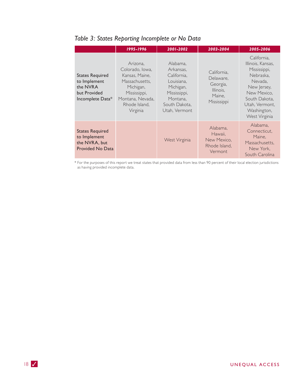|                                                                                        | 1995-1996                                                                                                                                     | 2001-2002                                                                                                                     | 2003-2004                                                                  | 2005-2006                                                                                                                                                                 |
|----------------------------------------------------------------------------------------|-----------------------------------------------------------------------------------------------------------------------------------------------|-------------------------------------------------------------------------------------------------------------------------------|----------------------------------------------------------------------------|---------------------------------------------------------------------------------------------------------------------------------------------------------------------------|
| <b>States Required</b><br>to Implement<br>the NVRA<br>but Provided<br>Incomplete Data* | Arizona,<br>Colorado, Iowa,<br>Kansas, Maine,<br>Massachusetts.<br>Michigan,<br>Mississippi,<br>Montana, Nevada,<br>Rhode Island.<br>Virginia | Alabama,<br>Arkansas,<br>California,<br>Louisiana,<br>Michigan,<br>Mississippi,<br>Montana.<br>South Dakota.<br>Utah, Vermont | California.<br>Delaware,<br>Georgia,<br>Illinois.<br>Maine.<br>Mississippi | California,<br>Illinois, Kansas,<br>Mississippi,<br>Nebraska.<br>Nevada,<br>New Jersey,<br>New Mexico.<br>South Dakota.<br>Utah, Vermont,<br>Washington,<br>West Virginia |
| <b>States Required</b><br>to Implement<br>the NVRA, but<br><b>Provided No Data</b>     |                                                                                                                                               | West Virginia                                                                                                                 | Alabama,<br>Hawaii.<br>New Mexico.<br>Rhode Island,<br><b>Vermont</b>      | Alabama.<br>Connecticut.<br>Maine,<br>Massachusetts.<br>New York,<br>South Carolina                                                                                       |

### Table 3: States Reporting Incomplete or No Data

\* For the purposes of this report we treat states that provided data from less than 90 percent of their local election jurisdictions<br>as having provided incomplete data.

 $18<sup>7</sup>$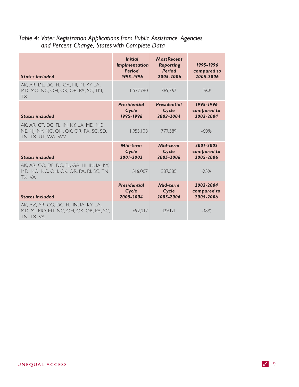# Table 4: Voter Registration Applications from Public Assistance Agencies<br>and Percent Change, States with Complete Data

| <b>States included</b>                                                                                   | <b>Initial</b><br><b>Implmentation</b><br><b>Period</b><br>1995-1996 | <b>Most Recent</b><br>Reporting<br><b>Period</b><br>2005-2006 | 1995-1996<br>compared to<br>2005-2006 |
|----------------------------------------------------------------------------------------------------------|----------------------------------------------------------------------|---------------------------------------------------------------|---------------------------------------|
| AK, AR, DE, DC, FL, GA, HI, IN, KY LA,<br>MD, MO, NC, OH, OK, OR, PA, SC, TN,<br><b>TX</b>               | 1,537,780                                                            | 369,767                                                       | $-76%$                                |
| <b>States included</b>                                                                                   | <b>Presidential</b><br>Cycle<br>1995-1996                            | <b>Presidential</b><br>Cycle<br>2003-2004                     | 1995-1996<br>compared to<br>2003-2004 |
| AK, AR, CT, DC, FL, IN, KY, LA, MD, MO,<br>NE, NJ, NY, NC, OH, OK, OR, PA, SC, SD,<br>TN, TX, UT, WA, WV | 1,953,108                                                            | 777,589                                                       | $-60%$                                |
| <b>States included</b>                                                                                   | Mid-term<br>Cycle<br>2001-2002                                       | Mid-term<br>Cycle<br>2005-2006                                | 2001-2002<br>compared to<br>2005-2006 |
| AK, AR, CO, DE, DC, FL, GA, HI, IN, IA, KY,<br>MD, MO, NC, OH, OK, OR, PA, RI, SC, TN,<br>TX, VA         | 516,007                                                              | 387,585                                                       | $-25%$                                |
| <b>States included</b>                                                                                   | <b>Presidential</b><br>Cycle<br>2003-2004                            | Mid-term<br>Cycle<br>2005-2006                                | 2003-2004<br>compared to<br>2005-2006 |
| AK, AZ, AR, CO, DC, FL, IN, IA, KY, LA,<br>MD, MI, MO, MT, NC, OH, OK, OR, PA, SC,<br>TN, TX, VA         | 692,217                                                              | 429, 121                                                      | $-38%$                                |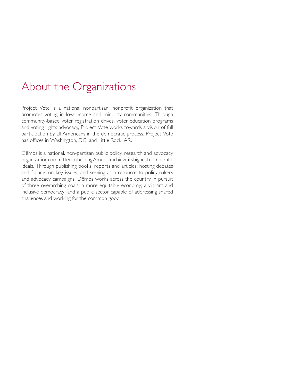### About the Organizations

Project Vote is a national nonpartisan, nonprofit organization that promotes voting in low-income and minority communities. Through community-based voter registration drives, voter education programs and voting rights advocacy, Project Vote works towards a vision of full participation by all Americans in the democratic process. Project Vote has offices in Washington, DC, and Little Rock, AR.

Demos is a national, non-partisan public policy, research and advocacy organization committed to helping America achieve its highest democratic ideals. Through publishing books, reports and articles; hosting debates and forums on key issues; and serving as a resource to policymakers and advocacy campaigns, Demos works across the country in pursuit of three overarching goals: a more equitable economy; a vibrant and inclusive democracy; and a public sector capable of addressing shared challenges and working for the common good.